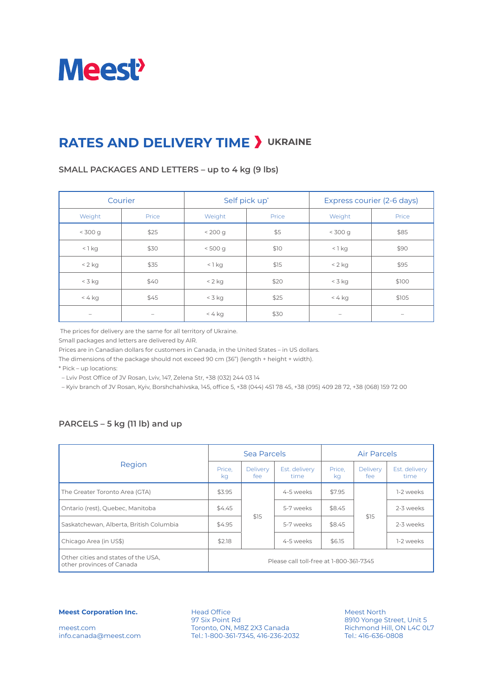

# **RATES AND DELIVERY TIME > UKRAINE**

#### **SMALL PACKAGES AND LETTERS – up to 4 kg (9 lbs)**

| Courier    |                          |            | Self pick up* | Express courier (2-6 days) |                                 |  |
|------------|--------------------------|------------|---------------|----------------------------|---------------------------------|--|
| Weight     | Price                    | Weight     | Price         | Weight                     | Price                           |  |
| $<$ 300 g  | \$25                     | < 200 g    | \$5           | $<$ 300 g                  | \$85                            |  |
| $<$ 1 $kg$ | \$30                     | < 500 g    | \$10          | $<$ 1 $kg$                 | \$90                            |  |
| $< 2$ kg   | \$35                     | $<$ 1 $kg$ | \$15          | $< 2$ kg                   | \$95                            |  |
| $<$ 3 kg   | \$40                     | $< 2$ kg   | \$20          | $<$ 3 kg                   | \$100                           |  |
| $< 4$ kg   | \$45                     | $<$ 3 kg   | \$25          | $< 4$ kg                   | \$105                           |  |
| -          | $\overline{\phantom{a}}$ | $< 4$ kg   | \$30          | $\overline{\phantom{a}}$   | $\hspace{0.1in} \hspace{0.1in}$ |  |

The prices for delivery are the same for all territory of Ukraine.

Small packages and letters are delivered by AIR.

Prices are in Canadian dollars for customers in Canada, in the United States – in US dollars.

The dimensions of the package should not exceed 90 cm (36") (length + height + width).

\* Pick – up locations:

– Lviv Post Office of JV Rosan, Lviv, 147, Zelena Str, +38 (032) 244 03 14

– Kyiv branch of JV Rosan, Kyiv, Borshchahivska, 145, office 5, +38 (044) 451 78 45, +38 (095) 409 28 72, +38 (068) 159 72 00

### **PARCELS – 5 kg (11 lb) and up**

|                                                                  |              | Sea Parcels     |                                         | <b>Air Parcels</b> |                        |                       |
|------------------------------------------------------------------|--------------|-----------------|-----------------------------------------|--------------------|------------------------|-----------------------|
| Region                                                           | Price.<br>kg | Delivery<br>fee | Est. delivery<br>time                   | Price,<br>ka       | <b>Delivery</b><br>fee | Est. delivery<br>time |
| The Greater Toronto Area (GTA)                                   | \$3.95       |                 | 4-5 weeks                               | \$7.95             | \$15                   | 1-2 weeks             |
| Ontario (rest), Quebec, Manitoba                                 | \$4.45       |                 | 5-7 weeks                               | \$8.45             |                        | 2-3 weeks             |
| Saskatchewan, Alberta, British Columbia                          | \$4.95       | \$15            | 5-7 weeks                               | \$8.45             |                        | 2-3 weeks             |
| Chicago Area (in US\$)                                           | \$2.18       |                 | 4-5 weeks                               | \$6.15             |                        | 1-2 weeks             |
| Other cities and states of the USA,<br>other provinces of Canada |              |                 | Please call toll-free at 1-800-361-7345 |                    |                        |                       |

**Meest Corporation Inc.**

meest.com info.canada@meest.com

Head Office 97 Six Point Rd Toronto, ON, M8Z 2X3 Canada Tel.: 1-800-361-7345, 416-236-2032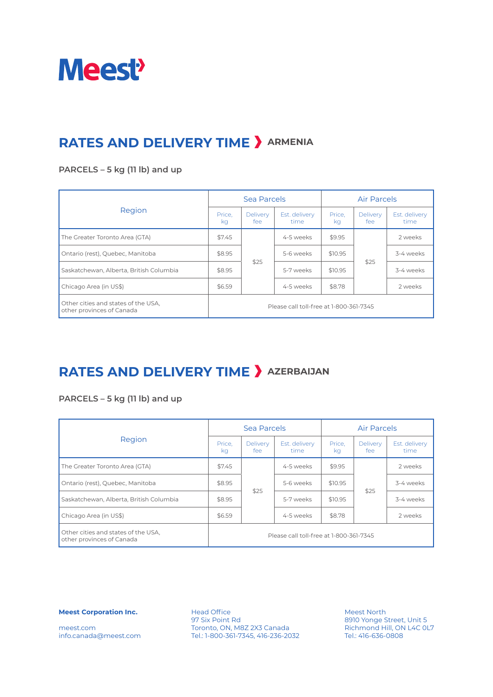

## **RATES AND DELIVERY TIME > ARMENIA**

### **PARCELS – 5 kg (11 lb) and up**

|                                                                  |                                         | Sea Parcels     |                       | <b>Air Parcels</b> |                        |                       |
|------------------------------------------------------------------|-----------------------------------------|-----------------|-----------------------|--------------------|------------------------|-----------------------|
| Region                                                           | Price.<br>kg                            | Delivery<br>fee | Est. delivery<br>time | Price.<br>ka       | <b>Delivery</b><br>fee | Est. delivery<br>time |
| The Greater Toronto Area (GTA)                                   | \$7.45                                  |                 | 4-5 weeks             | \$9.95             |                        | 2 weeks               |
| Ontario (rest), Quebec, Manitoba                                 | \$8.95                                  |                 | 5-6 weeks             | \$10.95            | \$25                   | 3-4 weeks             |
| Saskatchewan, Alberta, British Columbia                          | \$8.95                                  | \$25            | 5-7 weeks             | \$10.95            |                        | 3-4 weeks             |
| Chicago Area (in US\$)                                           | \$6.59                                  |                 | 4-5 weeks             | \$8.78             |                        | 2 weeks               |
| Other cities and states of the USA,<br>other provinces of Canada | Please call toll-free at 1-800-361-7345 |                 |                       |                    |                        |                       |

### **RATES AND DELIVERY TIME > AZERBAIJAN**

### **PARCELS – 5 kg (11 lb) and up**

|                                                                  |                                         | Sea Parcels     |                       | <b>Air Parcels</b> |                 |                       |
|------------------------------------------------------------------|-----------------------------------------|-----------------|-----------------------|--------------------|-----------------|-----------------------|
| Region                                                           | Price,<br>ka                            | Delivery<br>fee | Est. delivery<br>time | Price,<br>ka       | Delivery<br>fee | Est. delivery<br>time |
| The Greater Toronto Area (GTA)                                   | \$7.45                                  |                 | 4-5 weeks             | \$9.95             |                 | 2 weeks               |
| Ontario (rest), Quebec, Manitoba                                 | \$8.95                                  |                 | 5-6 weeks             | \$10.95            | \$25            | 3-4 weeks             |
| Saskatchewan, Alberta, British Columbia                          | \$8.95                                  | \$25            | 5-7 weeks             | \$10.95            |                 | 3-4 weeks             |
| Chicago Area (in US\$)                                           | \$6.59                                  |                 | 4-5 weeks             | \$8.78             |                 | 2 weeks               |
| Other cities and states of the USA,<br>other provinces of Canada | Please call toll-free at 1-800-361-7345 |                 |                       |                    |                 |                       |

**Meest Corporation Inc.**

meest.com info.canada@meest.com

Head Office 97 Six Point Rd Toronto, ON, M8Z 2X3 Canada Tel.: 1-800-361-7345, 416-236-2032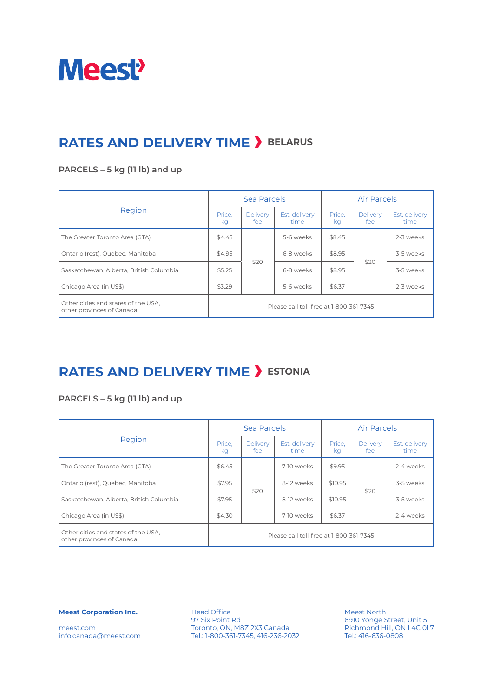

## **RATES AND DELIVERY TIME > BELARUS**

#### **PARCELS – 5 kg (11 lb) and up**

|                                                                  |                                         | Sea Parcels            |                       | <b>Air Parcels</b> |                        |                       |
|------------------------------------------------------------------|-----------------------------------------|------------------------|-----------------------|--------------------|------------------------|-----------------------|
| Region                                                           | Price.<br>kg                            | <b>Delivery</b><br>fee | Est. delivery<br>time | Price.<br>ka       | <b>Delivery</b><br>fee | Est. delivery<br>time |
| The Greater Toronto Area (GTA)                                   | \$4.45                                  |                        | 5-6 weeks             | \$8.45             |                        | 2-3 weeks             |
| Ontario (rest), Quebec, Manitoba                                 | \$4.95                                  |                        | 6-8 weeks             | \$8.95             | \$20                   | 3-5 weeks             |
| Saskatchewan, Alberta, British Columbia                          | \$5.25                                  | \$20                   | 6-8 weeks             | \$8.95             |                        | 3-5 weeks             |
| Chicago Area (in US\$)                                           | \$3.29                                  |                        | 5-6 weeks             | \$6.37             |                        | 2-3 weeks             |
| Other cities and states of the USA,<br>other provinces of Canada | Please call toll-free at 1-800-361-7345 |                        |                       |                    |                        |                       |

### **RATES AND DELIVERY TIME >** ESTONIA

### **PARCELS – 5 kg (11 lb) and up**

|                                                                  |                                         | Sea Parcels     |                       | <b>Air Parcels</b> |                        |                       |
|------------------------------------------------------------------|-----------------------------------------|-----------------|-----------------------|--------------------|------------------------|-----------------------|
| Region                                                           | Price,<br>ka                            | Delivery<br>fee | Est. delivery<br>time | Price,<br>ka       | <b>Delivery</b><br>fee | Est. delivery<br>time |
| The Greater Toronto Area (GTA)                                   | \$6.45                                  |                 | 7-10 weeks            | \$9.95             |                        | 2-4 weeks             |
| Ontario (rest), Quebec, Manitoba                                 | \$7.95                                  |                 | 8-12 weeks            | \$10.95            | \$20                   | 3-5 weeks             |
| Saskatchewan, Alberta, British Columbia                          | \$7.95                                  | \$20            | 8-12 weeks            | \$10.95            |                        | 3-5 weeks             |
| Chicago Area (in US\$)                                           | \$4.30                                  |                 | 7-10 weeks            | \$6.37             |                        | 2-4 weeks             |
| Other cities and states of the USA,<br>other provinces of Canada | Please call toll-free at 1-800-361-7345 |                 |                       |                    |                        |                       |

**Meest Corporation Inc.**

meest.com info.canada@meest.com

Head Office 97 Six Point Rd Toronto, ON, M8Z 2X3 Canada Tel.: 1-800-361-7345, 416-236-2032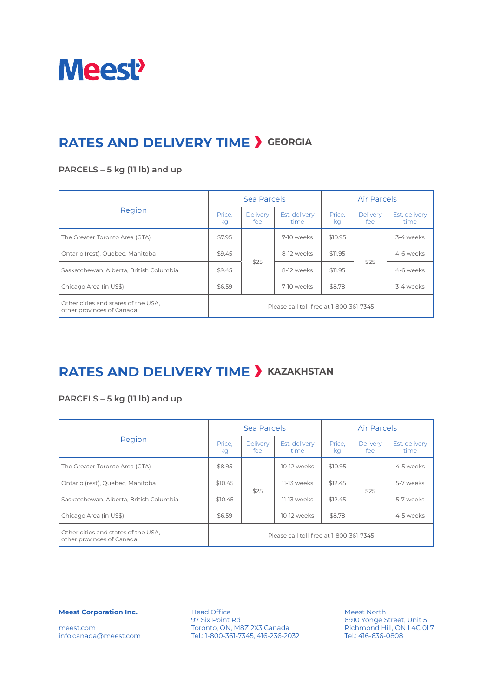

## **RATES AND DELIVERY TIME > GEORGIA**

#### **PARCELS – 5 kg (11 lb) and up**

|                                                                  |                                         | Sea Parcels            |                       | <b>Air Parcels</b> |                        |                       |
|------------------------------------------------------------------|-----------------------------------------|------------------------|-----------------------|--------------------|------------------------|-----------------------|
| Region                                                           | Price.<br>kg                            | <b>Delivery</b><br>fee | Est. delivery<br>time | Price.<br>ka       | <b>Delivery</b><br>fee | Est. delivery<br>time |
| The Greater Toronto Area (GTA)                                   | \$7.95                                  |                        | 7-10 weeks            | \$10.95            | \$25                   | 3-4 weeks             |
| Ontario (rest), Quebec, Manitoba                                 | \$9.45                                  |                        | 8-12 weeks            | \$11.95            |                        | 4-6 weeks             |
| Saskatchewan, Alberta, British Columbia                          | \$9.45                                  | \$25                   | 8-12 weeks            | \$11.95            |                        | 4-6 weeks             |
| Chicago Area (in US\$)                                           | \$6.59                                  |                        | 7-10 weeks            | \$8.78             |                        | 3-4 weeks             |
| Other cities and states of the USA,<br>other provinces of Canada | Please call toll-free at 1-800-361-7345 |                        |                       |                    |                        |                       |

### **RATES AND DELIVERY TIME > KAZAKHSTAN**

### **PARCELS – 5 kg (11 lb) and up**

|                                                                  |                                         | Sea Parcels     |                       | <b>Air Parcels</b> |                 |                       |
|------------------------------------------------------------------|-----------------------------------------|-----------------|-----------------------|--------------------|-----------------|-----------------------|
| Region                                                           | Price,<br>ka                            | Delivery<br>fee | Est. delivery<br>time | Price,<br>ka       | Delivery<br>fee | Est. delivery<br>time |
| The Greater Toronto Area (GTA)                                   | \$8.95                                  |                 | 10-12 weeks           | \$10.95            |                 | 4-5 weeks             |
| Ontario (rest), Quebec, Manitoba                                 | \$10.45                                 |                 | 11-13 weeks           | \$12.45            | \$25            | 5-7 weeks             |
| Saskatchewan, Alberta, British Columbia                          | \$10.45                                 | \$25            | 11-13 weeks           | \$12.45            |                 | 5-7 weeks             |
| Chicago Area (in US\$)                                           | \$6.59                                  |                 | 10-12 weeks           | \$8.78             |                 | 4-5 weeks             |
| Other cities and states of the USA,<br>other provinces of Canada | Please call toll-free at 1-800-361-7345 |                 |                       |                    |                 |                       |

**Meest Corporation Inc.**

meest.com info.canada@meest.com

Head Office 97 Six Point Rd Toronto, ON, M8Z 2X3 Canada Tel.: 1-800-361-7345, 416-236-2032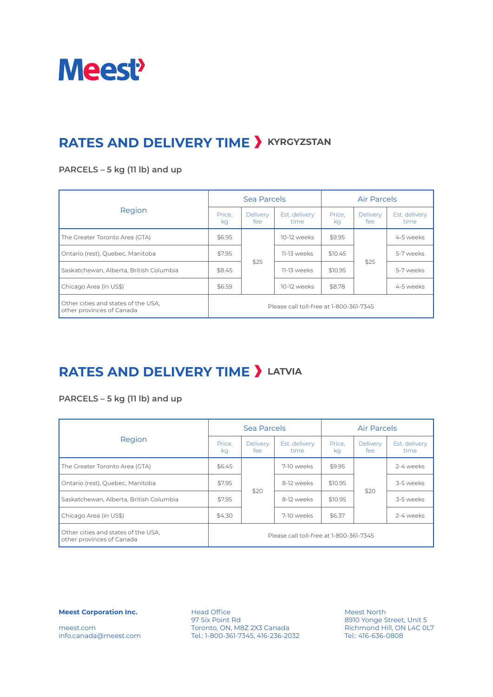

### **RATES AND DELIVERY TIME > KYRGYZSTAN**

### **PARCELS – 5 kg (11 lb) and up**

|                                                                  |                                         | Sea Parcels            |                       | <b>Air Parcels</b> |                        |                       |
|------------------------------------------------------------------|-----------------------------------------|------------------------|-----------------------|--------------------|------------------------|-----------------------|
| Region                                                           | Price.<br>kg                            | <b>Delivery</b><br>fee | Est. delivery<br>time | Price.<br>ka       | <b>Delivery</b><br>fee | Est. delivery<br>time |
| The Greater Toronto Area (GTA)                                   | \$6.95                                  |                        | 10-12 weeks           | \$9.95             |                        | 4-5 weeks             |
| Ontario (rest), Quebec, Manitoba                                 | \$7.95                                  |                        | 11-13 weeks           | \$10.45            | \$25                   | 5-7 weeks             |
| Saskatchewan, Alberta, British Columbia                          | \$8.45                                  | \$25                   | 11-13 weeks           | \$10.95            |                        | 5-7 weeks             |
| Chicago Area (in US\$)                                           | \$6.59                                  |                        | 10-12 weeks           | \$8.78             |                        | 4-5 weeks             |
| Other cities and states of the USA,<br>other provinces of Canada | Please call toll-free at 1-800-361-7345 |                        |                       |                    |                        |                       |

### **RATES AND DELIVERY TIME > LATVIA**

### **PARCELS – 5 kg (11 lb) and up**

|                                                                  |                                         | Sea Parcels     |                       | <b>Air Parcels</b> |                        |                       |
|------------------------------------------------------------------|-----------------------------------------|-----------------|-----------------------|--------------------|------------------------|-----------------------|
| Region                                                           | Price,<br>ka                            | Delivery<br>fee | Est. delivery<br>time | Price,<br>ka       | <b>Delivery</b><br>fee | Est. delivery<br>time |
| The Greater Toronto Area (GTA)                                   | \$6.45                                  |                 | 7-10 weeks            | \$9.95             |                        | 2-4 weeks             |
| Ontario (rest), Quebec, Manitoba                                 | \$7.95                                  |                 | 8-12 weeks            | \$10.95            | \$20                   | 3-5 weeks             |
| Saskatchewan, Alberta, British Columbia                          | \$7.95                                  | \$20            | 8-12 weeks            | \$10.95            |                        | 3-5 weeks             |
| Chicago Area (in US\$)                                           | \$4.30                                  |                 | 7-10 weeks            | \$6.37             |                        | 2-4 weeks             |
| Other cities and states of the USA,<br>other provinces of Canada | Please call toll-free at 1-800-361-7345 |                 |                       |                    |                        |                       |

**Meest Corporation Inc.**

meest.com info.canada@meest.com

Head Office 97 Six Point Rd Toronto, ON, M8Z 2X3 Canada Tel.: 1-800-361-7345, 416-236-2032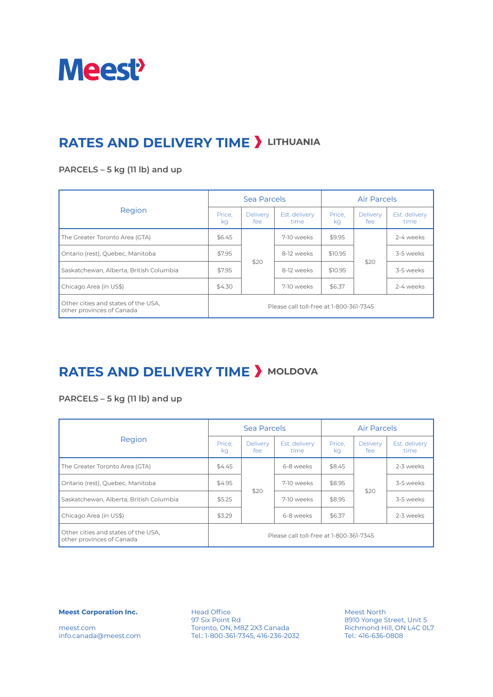

## **RATES AND DELIVERY TIME > LITHUANIA**

### **PARCELS – 5 kg (11 lb) and up**

|                                                                  |                                         | Sea Parcels            |                       | <b>Air Parcels</b> |                        |                       |
|------------------------------------------------------------------|-----------------------------------------|------------------------|-----------------------|--------------------|------------------------|-----------------------|
| Region                                                           | Price.<br>kg                            | <b>Delivery</b><br>fee | Est. delivery<br>time | Price.<br>ka       | <b>Delivery</b><br>fee | Est. delivery<br>time |
| The Greater Toronto Area (GTA)                                   | \$6.45                                  |                        | 7-10 weeks            | \$9.95             |                        | 2-4 weeks             |
| Ontario (rest), Quebec, Manitoba                                 | \$7.95                                  |                        | 8-12 weeks            | \$10.95            | \$20                   | 3-5 weeks             |
| Saskatchewan, Alberta, British Columbia                          | \$7.95                                  | \$20                   | 8-12 weeks            | \$10.95            |                        | 3-5 weeks             |
| Chicago Area (in US\$)                                           | \$4.30                                  |                        | 7-10 weeks            | \$6.37             |                        | 2-4 weeks             |
| Other cities and states of the USA,<br>other provinces of Canada | Please call toll-free at 1-800-361-7345 |                        |                       |                    |                        |                       |

### **RATES AND DELIVERY TIME > MOLDOVA**

### **PARCELS – 5 kg (11 lb) and up**

|                                                                  |                                         | Sea Parcels     |                       | <b>Air Parcels</b> |                 |                       |
|------------------------------------------------------------------|-----------------------------------------|-----------------|-----------------------|--------------------|-----------------|-----------------------|
| Region                                                           | Price,<br>ka                            | Delivery<br>fee | Est. delivery<br>time | Price,<br>ka       | Delivery<br>fee | Est. delivery<br>time |
| The Greater Toronto Area (GTA)                                   | \$4.45                                  |                 | 6-8 weeks             | \$8.45             |                 | 2-3 weeks             |
| Ontario (rest), Quebec, Manitoba                                 | \$4.95                                  |                 | 7-10 weeks            | \$8.95             | \$20            | 3-5 weeks             |
| Saskatchewan, Alberta, British Columbia                          | \$5.25                                  | \$20            | 7-10 weeks            | \$8.95             |                 | 3-5 weeks             |
| Chicago Area (in US\$)                                           | \$3.29                                  |                 | 6-8 weeks             | \$6.37             |                 | 2-3 weeks             |
| Other cities and states of the USA,<br>other provinces of Canada | Please call toll-free at 1-800-361-7345 |                 |                       |                    |                 |                       |

**Meest Corporation Inc.**

meest.com info.canada@meest.com

Head Office 97 Six Point Rd Toronto, ON, M8Z 2X3 Canada Tel.: 1-800-361-7345, 416-236-2032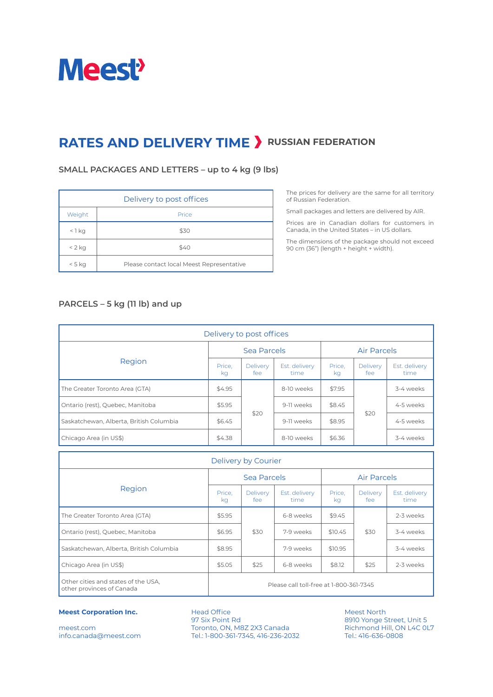

### **RATES AND DELIVERY TIME > RUSSIAN FEDERATION**

#### **SMALL PACKAGES AND LETTERS – up to 4 kg (9 lbs)**

| Delivery to post offices |                                           |  |  |  |  |  |
|--------------------------|-------------------------------------------|--|--|--|--|--|
| Weight                   | Price                                     |  |  |  |  |  |
| $<$ 1 kg                 | \$30                                      |  |  |  |  |  |
| $< 2$ kg                 | \$40                                      |  |  |  |  |  |
| $< 5$ kg                 | Please contact local Meest Representative |  |  |  |  |  |

The prices for delivery are the same for all territory of Russian Federation.

Small packages and letters are delivered by AIR.

Prices are in Canadian dollars for customers in Canada, in the United States – in US dollars.

The dimensions of the package should not exceed 90 cm (36") (length + height + width).

### **PARCELS – 5 kg (11 lb) and up**

| Delivery to post offices                |              |                         |                       |                    |                         |                       |  |
|-----------------------------------------|--------------|-------------------------|-----------------------|--------------------|-------------------------|-----------------------|--|
|                                         | Sea Parcels  |                         |                       | <b>Air Parcels</b> |                         |                       |  |
| Region                                  | Price.<br>kg | <b>Delivery</b><br>fee: | Est. delivery<br>time | Price,<br>kg       | <b>Delivery</b><br>fee: | Est. delivery<br>time |  |
| The Greater Toronto Area (GTA)          | \$4.95       |                         | 8-10 weeks            | \$7.95             |                         | 3-4 weeks             |  |
| Ontario (rest), Quebec, Manitoba        | \$5.95       | \$20                    | 9-11 weeks            | \$8.45             | \$20                    | 4-5 weeks             |  |
| Saskatchewan, Alberta, British Columbia | \$6.45       |                         | 9-11 weeks            | \$8.95             |                         | 4-5 weeks             |  |
| Chicago Area (in US\$)                  | \$4.38       |                         | 8-10 weeks            | \$6.36             |                         | 3-4 weeks             |  |

| Delivery by Courier                                              |                                         |                         |                       |                    |                        |                       |  |
|------------------------------------------------------------------|-----------------------------------------|-------------------------|-----------------------|--------------------|------------------------|-----------------------|--|
|                                                                  | Sea Parcels                             |                         |                       | <b>Air Parcels</b> |                        |                       |  |
| Region                                                           | Price,<br>kg                            | <b>Delivery</b><br>fee: | Est. delivery<br>time | Price,<br>ka       | <b>Delivery</b><br>fee | Est. delivery<br>time |  |
| The Greater Toronto Area (GTA)                                   | \$5.95                                  |                         | 6-8 weeks             | \$9.45             |                        | 2-3 weeks             |  |
| Ontario (rest), Quebec, Manitoba                                 | \$6.95                                  | \$30                    | 7-9 weeks             | \$10.45            | \$30                   | 3-4 weeks             |  |
| Saskatchewan, Alberta, British Columbia                          | \$8.95                                  |                         | 7-9 weeks             | \$10.95            |                        | 3-4 weeks             |  |
| Chicago Area (in US\$)                                           | \$5.05                                  | \$25                    | 6-8 weeks             | \$8.12             | \$25                   | 2-3 weeks             |  |
| Other cities and states of the USA,<br>other provinces of Canada | Please call toll-free at 1-800-361-7345 |                         |                       |                    |                        |                       |  |

#### **Meest Corporation Inc.**

meest.com info.canada@meest.com

Head Office 97 Six Point Rd Toronto, ON, M8Z 2X3 Canada Tel.: 1-800-361-7345, 416-236-2032